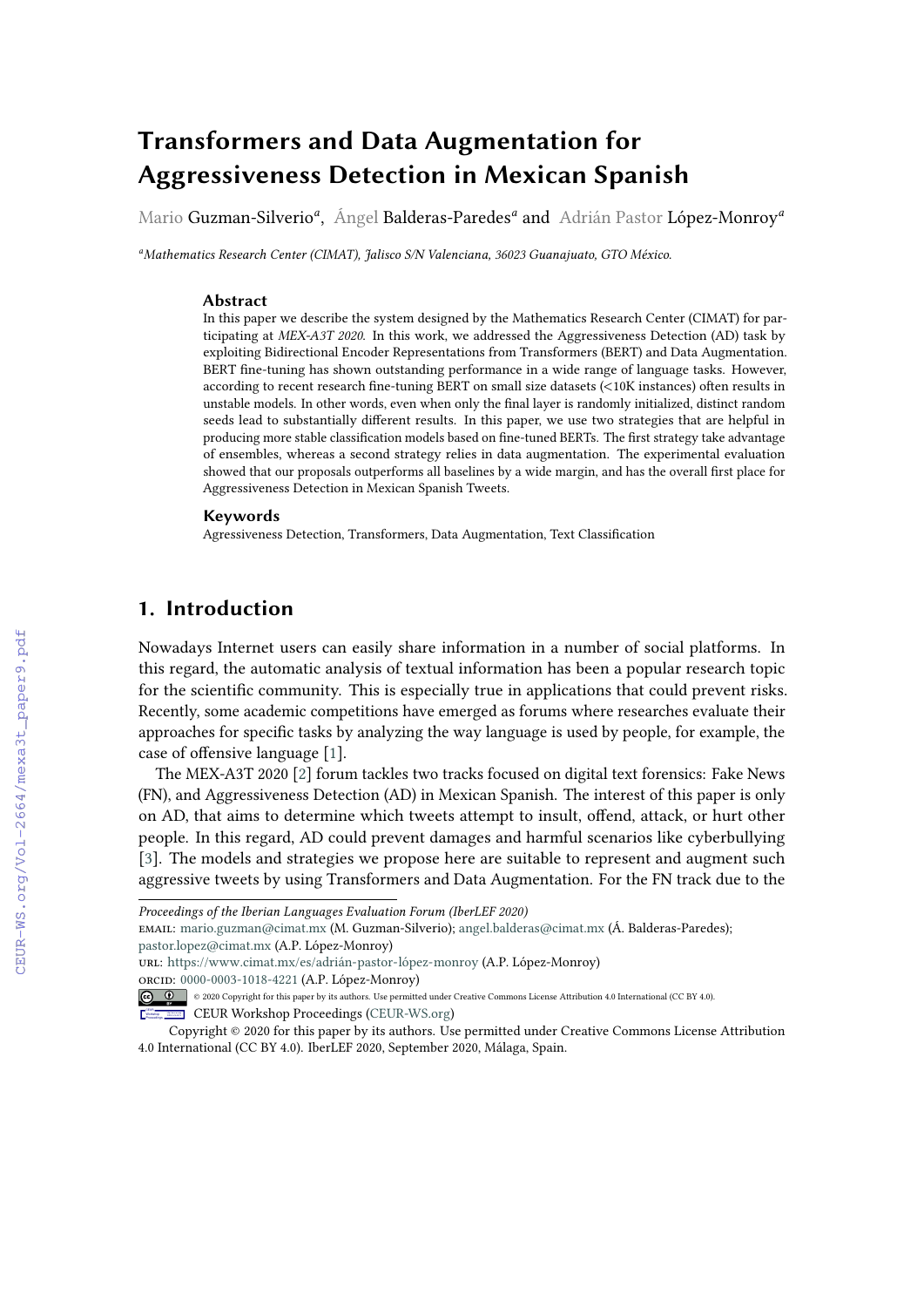# **Transformers and Data Augmentation for Aggressiveness Detection in Mexican Spanish**

Mario Guzman-Silverio*<sup>a</sup>* , Ángel Balderas-Paredes*<sup>a</sup>* and Adrián Pastor López-Monroy*<sup>a</sup>*

*<sup>a</sup>Mathematics Research Center (CIMAT), Jalisco S/N Valenciana, 36023 Guanajuato, GTO México.*

#### **Abstract**

In this paper we describe the system designed by the Mathematics Research Center (CIMAT) for participating at *MEX-A3T 2020*. In this work, we addressed the Aggressiveness Detection (AD) task by exploiting Bidirectional Encoder Representations from Transformers (BERT) and Data Augmentation. BERT fine-tuning has shown outstanding performance in a wide range of language tasks. However, according to recent research fine-tuning BERT on small size datasets (<10K instances) often results in unstable models. In other words, even when only the final layer is randomly initialized, distinct random seeds lead to substantially different results. In this paper, we use two strategies that are helpful in producing more stable classification models based on fine-tuned BERTs. The first strategy take advantage of ensembles, whereas a second strategy relies in data augmentation. The experimental evaluation showed that our proposals outperforms all baselines by a wide margin, and has the overall first place for Aggressiveness Detection in Mexican Spanish Tweets.

### **Keywords**

Agressiveness Detection, Transformers, Data Augmentation, Text Classification

# **1. Introduction**

Nowadays Internet users can easily share information in a number of social platforms. In this regard, the automatic analysis of textual information has been a popular research topic for the scientific community. This is especially true in applications that could prevent risks. Recently, some academic competitions have emerged as forums where researches evaluate their approaches for specific tasks by analyzing the way language is used by people, for example, the case of offensive language [\[1\]](#page--1-0).

The MEX-A3T 2020 [\[2\]](#page--1-1) forum tackles two tracks focused on digital text forensics: Fake News (FN), and Aggressiveness Detection (AD) in Mexican Spanish. The interest of this paper is only on AD, that aims to determine which tweets attempt to insult, offend, attack, or hurt other people. In this regard, AD could prevent damages and harmful scenarios like cyberbullying [\[3\]](#page--1-2). The models and strategies we propose here are suitable to represent and augment such aggressive tweets by using Transformers and Data Augmentation. For the FN track due to the

url: <https://www.cimat.mx/es/adrián-pastor-lópez-monroy> (A.P. López-Monroy)

orcid: [0000-0003-1018-4221](https://orcid.org/0000-0003-1018-4221) (A.P. López-Monroy)

*Proceedings of the Iberian Languages Evaluation Forum (IberLEF 2020)*

email: [mario.guzman@cimat.mx](mailto:mario.guzman@cimat.mx) (M. Guzman-Silverio); [angel.balderas@cimat.mx](mailto:angel.balderas@cimat.mx) (Á. Balderas-Paredes); [pastor.lopez@cimat.mx](mailto:pastor.lopez@cimat.mx) (A.P. López-Monroy)

<sup>© 2020</sup> Copyright for this paper by its authors. Use permitted under Creative Commons License Attribution 4.0 International (CC BY 4.0).

CEUR Workshop [Proceedings](http://ceur-ws.org) [\(CEUR-WS.org\)](http://ceur-ws.org)

Copyright © 2020 for this paper by its authors. Use permitted under Creative Commons License Attribution 4.0 International (CC BY 4.0). IberLEF 2020, September 2020, Málaga, Spain.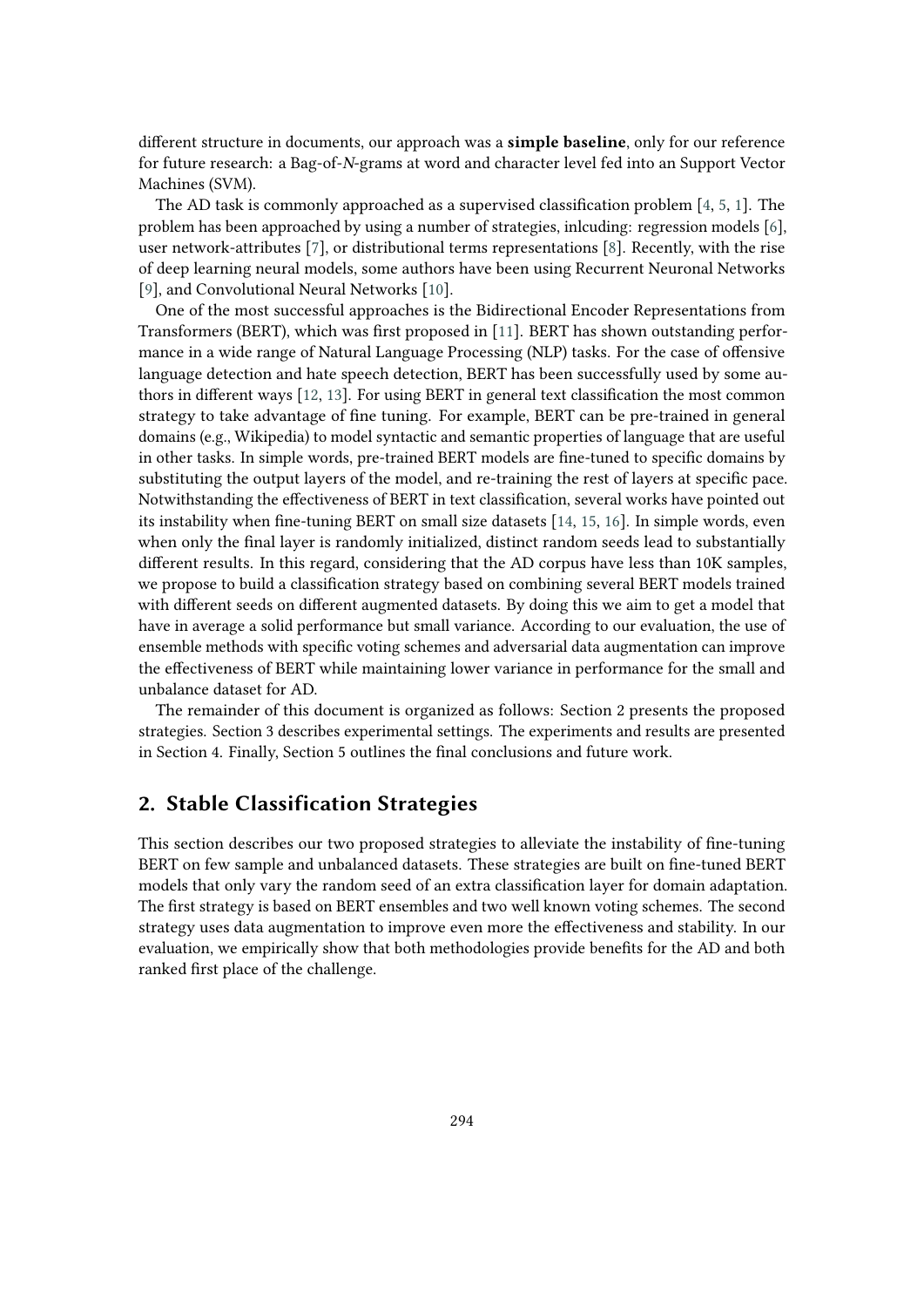different structure in documents, our approach was a **simple baseline**, only for our reference for future research: a Bag-of-N-grams at word and character level fed into an Support Vector Machines (SVM).

The AD task is commonly approached as a supervised classification problem [\[4,](#page-8-0) [5,](#page-8-1) [1\]](#page-7-0). The problem has been approached by using a number of strategies, inlcuding: regression models [\[6\]](#page-8-2), user network-attributes [\[7\]](#page-8-3), or distributional terms representations [\[8\]](#page-8-4). Recently, with the rise of deep learning neural models, some authors have been using Recurrent Neuronal Networks [\[9\]](#page-8-5), and Convolutional Neural Networks [\[10\]](#page-8-6).

One of the most successful approaches is the Bidirectional Encoder Representations from Transformers (BERT), which was first proposed in [\[11\]](#page-8-7). BERT has shown outstanding performance in a wide range of Natural Language Processing (NLP) tasks. For the case of offensive language detection and hate speech detection, BERT has been successfully used by some authors in different ways [\[12,](#page-8-8) [13\]](#page-8-9). For using BERT in general text classification the most common strategy to take advantage of fine tuning. For example, BERT can be pre-trained in general domains (e.g., Wikipedia) to model syntactic and semantic properties of language that are useful in other tasks. In simple words, pre-trained BERT models are fine-tuned to specific domains by substituting the output layers of the model, and re-training the rest of layers at specific pace. Notwithstanding the effectiveness of BERT in text classification, several works have pointed out its instability when fine-tuning BERT on small size datasets [\[14,](#page-8-10) [15,](#page-9-0) [16\]](#page-9-1). In simple words, even when only the final layer is randomly initialized, distinct random seeds lead to substantially different results. In this regard, considering that the AD corpus have less than 10K samples, we propose to build a classification strategy based on combining several BERT models trained with different seeds on different augmented datasets. By doing this we aim to get a model that have in average a solid performance but small variance. According to our evaluation, the use of ensemble methods with specific voting schemes and adversarial data augmentation can improve the effectiveness of BERT while maintaining lower variance in performance for the small and unbalance dataset for AD.

The remainder of this document is organized as follows: Section 2 presents the proposed strategies. Section 3 describes experimental settings. The experiments and results are presented in Section 4. Finally, Section 5 outlines the final conclusions and future work.

### **2. Stable Classification Strategies**

This section describes our two proposed strategies to alleviate the instability of fine-tuning BERT on few sample and unbalanced datasets. These strategies are built on fine-tuned BERT models that only vary the random seed of an extra classification layer for domain adaptation. The first strategy is based on BERT ensembles and two well known voting schemes. The second strategy uses data augmentation to improve even more the effectiveness and stability. In our evaluation, we empirically show that both methodologies provide benefits for the AD and both ranked first place of the challenge.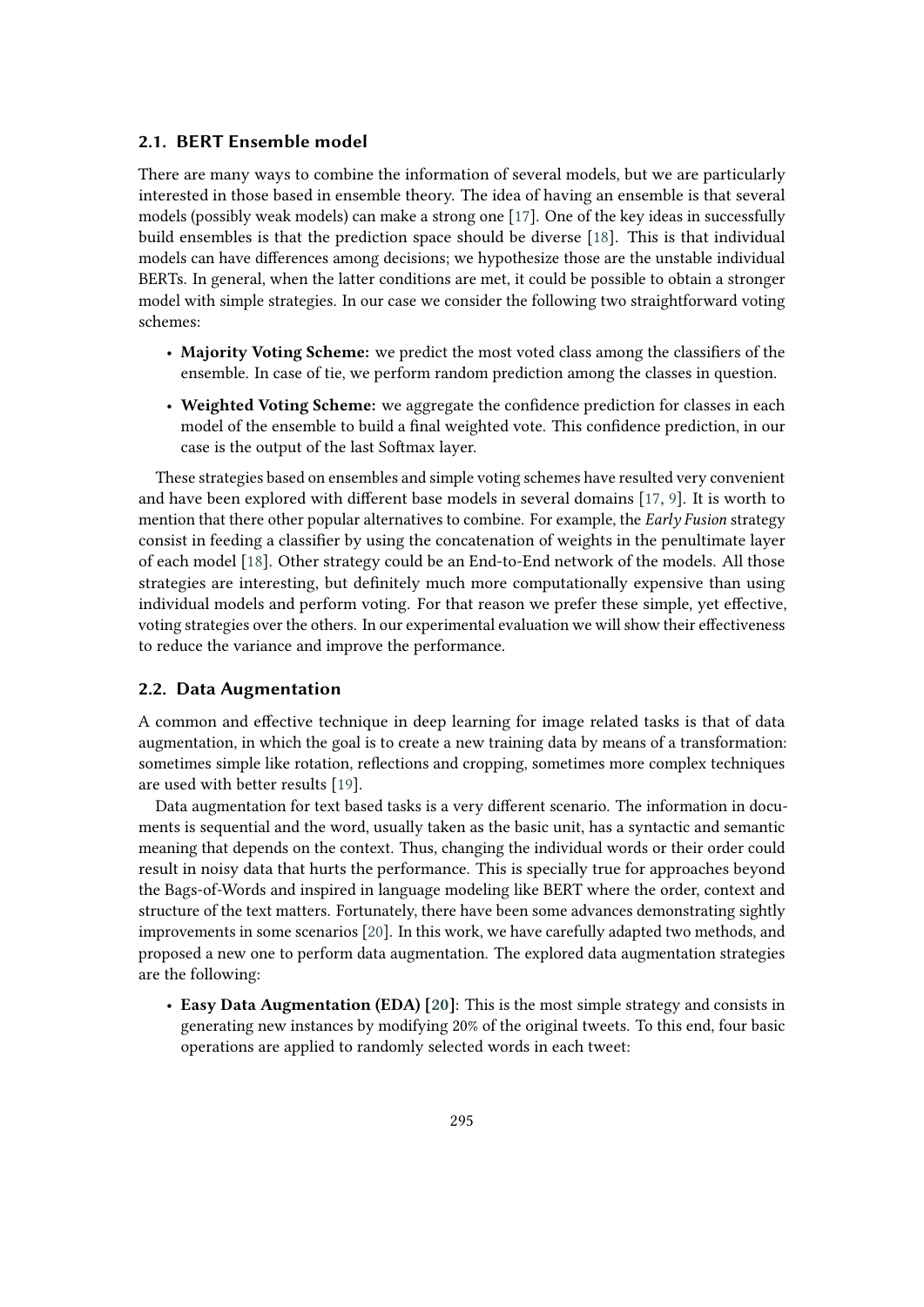### **2.1. BERT Ensemble model**

There are many ways to combine the information of several models, but we are particularly interested in those based in ensemble theory. The idea of having an ensemble is that several models (possibly weak models) can make a strong one [\[17\]](#page-9-2). One of the key ideas in successfully build ensembles is that the prediction space should be diverse [\[18\]](#page-9-3). This is that individual models can have differences among decisions; we hypothesize those are the unstable individual BERTs. In general, when the latter conditions are met, it could be possible to obtain a stronger model with simple strategies. In our case we consider the following two straightforward voting schemes:

- **Majority Voting Scheme:** we predict the most voted class among the classifiers of the ensemble. In case of tie, we perform random prediction among the classes in question.
- **Weighted Voting Scheme:** we aggregate the confidence prediction for classes in each model of the ensemble to build a final weighted vote. This confidence prediction, in our case is the output of the last Softmax layer.

These strategies based on ensembles and simple voting schemes have resulted very convenient and have been explored with different base models in several domains [\[17,](#page-9-2) [9\]](#page-8-5). It is worth to mention that there other popular alternatives to combine. For example, the *Early Fusion* strategy consist in feeding a classifier by using the concatenation of weights in the penultimate layer of each model [\[18\]](#page-9-3). Other strategy could be an End-to-End network of the models. All those strategies are interesting, but definitely much more computationally expensive than using individual models and perform voting. For that reason we prefer these simple, yet effective, voting strategies over the others. In our experimental evaluation we will show their effectiveness to reduce the variance and improve the performance.

### <span id="page-2-0"></span>**2.2. Data Augmentation**

A common and effective technique in deep learning for image related tasks is that of data augmentation, in which the goal is to create a new training data by means of a transformation: sometimes simple like rotation, reflections and cropping, sometimes more complex techniques are used with better results [\[19\]](#page-9-4).

Data augmentation for text based tasks is a very different scenario. The information in documents is sequential and the word, usually taken as the basic unit, has a syntactic and semantic meaning that depends on the context. Thus, changing the individual words or their order could result in noisy data that hurts the performance. This is specially true for approaches beyond the Bags-of-Words and inspired in language modeling like BERT where the order, context and structure of the text matters. Fortunately, there have been some advances demonstrating sightly improvements in some scenarios [\[20\]](#page-9-5). In this work, we have carefully adapted two methods, and proposed a new one to perform data augmentation. The explored data augmentation strategies are the following:

• **Easy Data Augmentation (EDA) [\[20\]](#page-9-5)**: This is the most simple strategy and consists in generating new instances by modifying 20% of the original tweets. To this end, four basic operations are applied to randomly selected words in each tweet: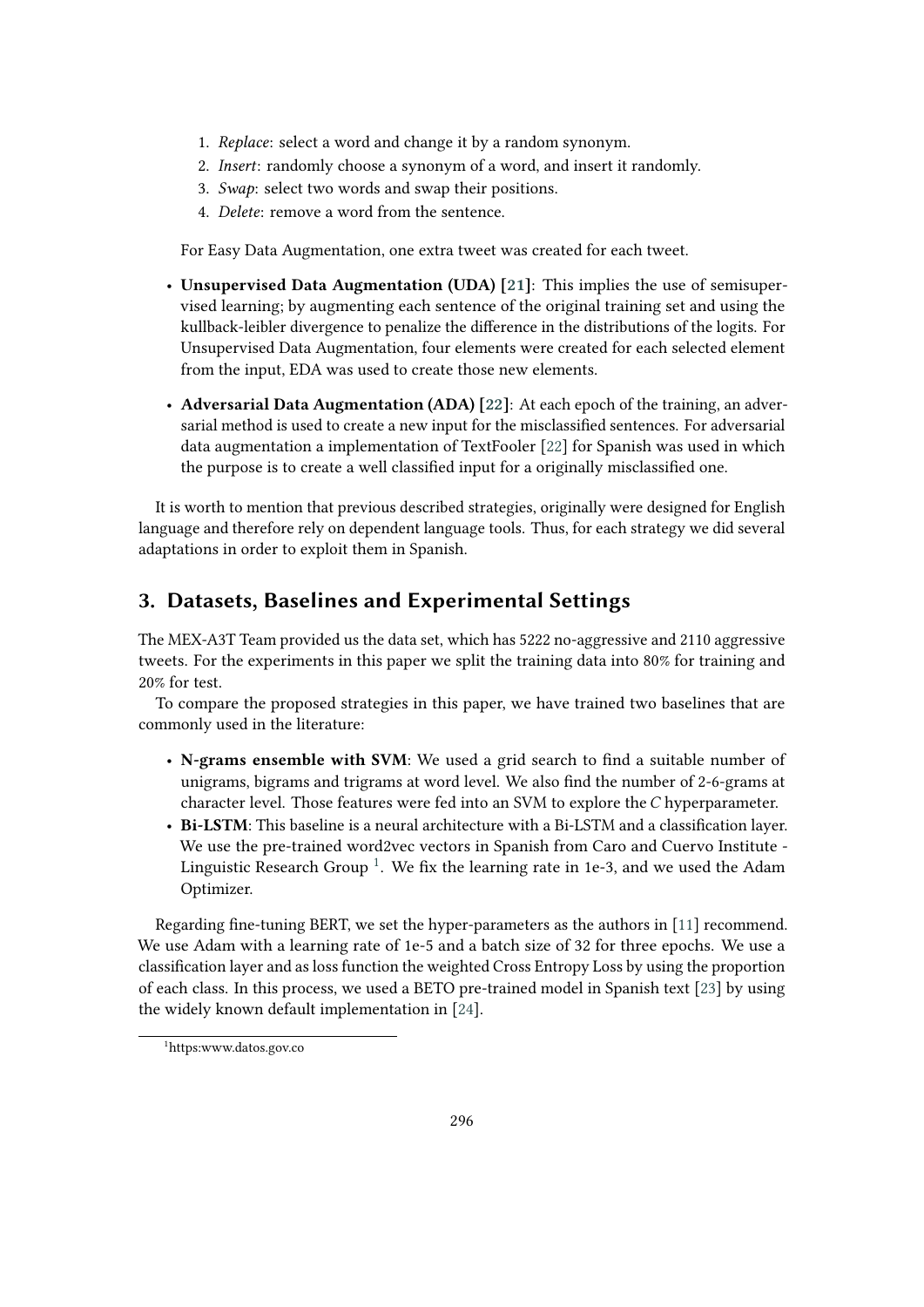- 1. *Replace*: select a word and change it by a random synonym.
- 2. *Insert*: randomly choose a synonym of a word, and insert it randomly.
- 3. *Swap*: select two words and swap their positions.
- 4. *Delete*: remove a word from the sentence.

For Easy Data Augmentation, one extra tweet was created for each tweet.

- **Unsupervised Data Augmentation (UDA) [\[21\]](#page-9-6)**: This implies the use of semisupervised learning; by augmenting each sentence of the original training set and using the kullback-leibler divergence to penalize the difference in the distributions of the logits. For Unsupervised Data Augmentation, four elements were created for each selected element from the input, EDA was used to create those new elements.
- **Adversarial Data Augmentation (ADA) [\[22\]](#page-9-7)**: At each epoch of the training, an adversarial method is used to create a new input for the misclassified sentences. For adversarial data augmentation a implementation of TextFooler [\[22\]](#page-9-7) for Spanish was used in which the purpose is to create a well classified input for a originally misclassified one.

It is worth to mention that previous described strategies, originally were designed for English language and therefore rely on dependent language tools. Thus, for each strategy we did several adaptations in order to exploit them in Spanish.

# <span id="page-3-1"></span>**3. Datasets, Baselines and Experimental Settings**

The MEX-A3T Team provided us the data set, which has 5222 no-aggressive and 2110 aggressive tweets. For the experiments in this paper we split the training data into 80% for training and 20% for test.

To compare the proposed strategies in this paper, we have trained two baselines that are commonly used in the literature:

- **N-grams ensemble with SVM**: We used a grid search to find a suitable number of unigrams, bigrams and trigrams at word level. We also find the number of 2-6-grams at character level. Those features were fed into an SVM to explore the  $C$  hyperparameter.
- **Bi-LSTM**: This baseline is a neural architecture with a Bi-LSTM and a classification layer. We use the pre-trained word2vec vectors in Spanish from Caro and Cuervo Institute - Linguistic Research Group  $^1$  $^1$ . We fix the learning rate in 1e-3, and we used the Adam Optimizer.

Regarding fine-tuning BERT, we set the hyper-parameters as the authors in [\[11\]](#page-8-7) recommend. We use Adam with a learning rate of 1e-5 and a batch size of 32 for three epochs. We use a classification layer and as loss function the weighted Cross Entropy Loss by using the proportion of each class. In this process, we used a BETO pre-trained model in Spanish text [\[23\]](#page-9-8) by using the widely known default implementation in [\[24\]](#page-9-9).

<span id="page-3-0"></span><sup>1</sup>https:www.datos.gov.co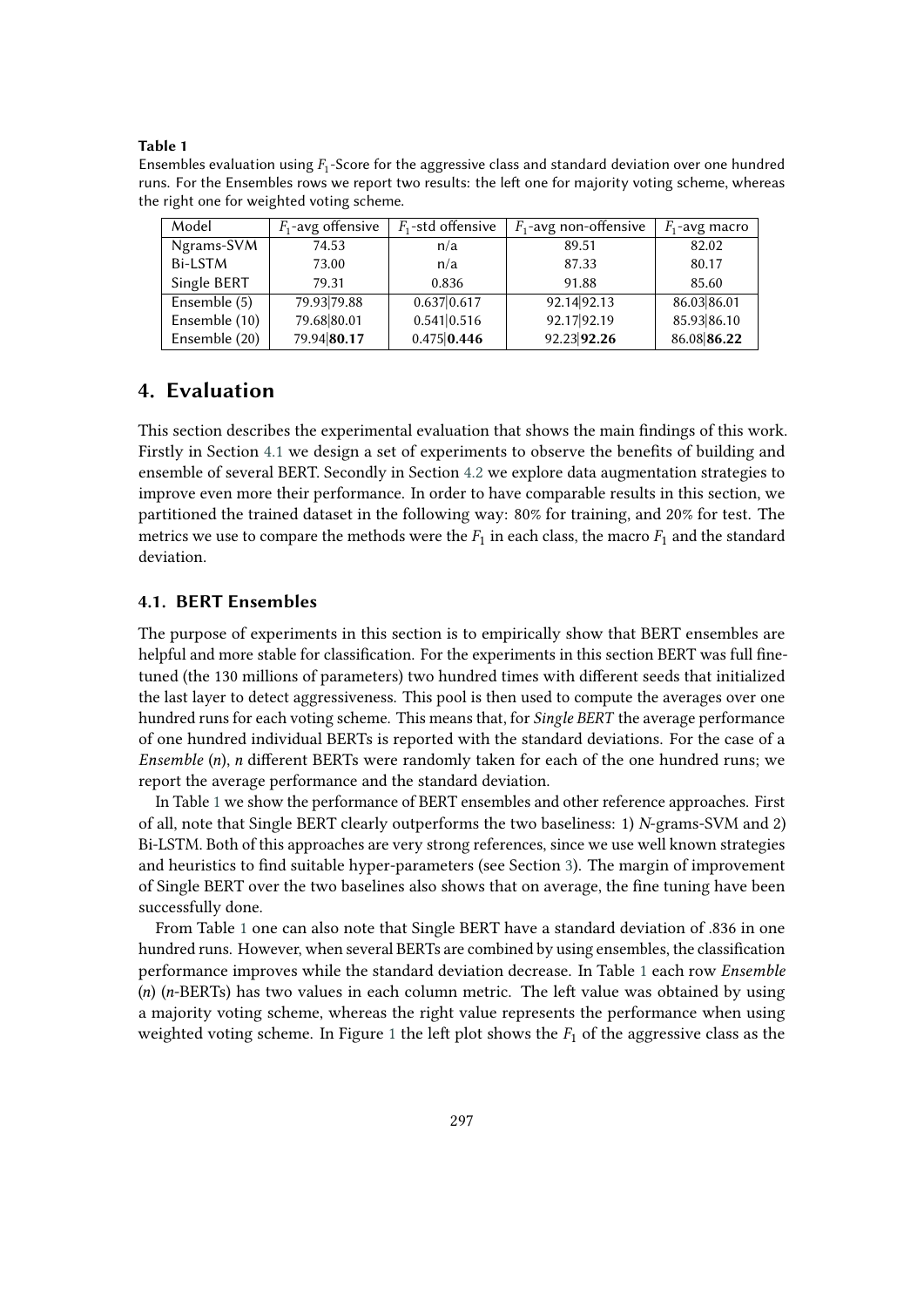#### **Table 1**

<span id="page-4-1"></span>Ensembles evaluation using  $F_1$ -Score for the aggressive class and standard deviation over one hundred runs. For the Ensembles rows we report two results: the left one for majority voting scheme, whereas the right one for weighted voting scheme.

| Model         | $F_1$ -avg offensive | $F_1$ -std offensive | $F_1$ -avg non-offensive | $F_1$ -avg macro |
|---------------|----------------------|----------------------|--------------------------|------------------|
| Ngrams-SVM    | 74.53                | n/a                  | 89.51                    | 82.02            |
| Bi-LSTM       | 73.00                | n/a                  | 87.33                    | 80.17            |
| Single BERT   | 79.31                | 0.836                | 91.88                    | 85.60            |
| Ensemble (5)  | 79.93 79.88          | 0.637 0.617          | 92.14 92.13              | 86.03 86.01      |
| Ensemble (10) | 79.68 80.01          | 0.541 0.516          | 92.17 92.19              | 85.93 86.10      |
| Ensemble (20) | 79.94 80.17          | 0.475 0.446          | 92.23 92.26              | 86.08 86.22      |

# **4. Evaluation**

This section describes the experimental evaluation that shows the main findings of this work. Firstly in Section [4.1](#page-4-0) we design a set of experiments to observe the benefits of building and ensemble of several BERT. Secondly in Section [4.2](#page-5-0) we explore data augmentation strategies to improve even more their performance. In order to have comparable results in this section, we partitioned the trained dataset in the following way: 80% for training, and 20% for test. The metrics we use to compare the methods were the  $F_1$  in each class, the macro  $F_1$  and the standard deviation.

### <span id="page-4-0"></span>**4.1. BERT Ensembles**

The purpose of experiments in this section is to empirically show that BERT ensembles are helpful and more stable for classification. For the experiments in this section BERT was full finetuned (the 130 millions of parameters) two hundred times with different seeds that initialized the last layer to detect aggressiveness. This pool is then used to compute the averages over one hundred runs for each voting scheme. This means that, for *Single BERT* the average performance of one hundred individual BERTs is reported with the standard deviations. For the case of a *Ensemble* (n), *n* different BERTs were randomly taken for each of the one hundred runs; we report the average performance and the standard deviation.

In Table [1](#page-4-1) we show the performance of BERT ensembles and other reference approaches. First of all, note that Single BERT clearly outperforms the two baseliness: 1)  $N$ -grams-SVM and 2) Bi-LSTM. Both of this approaches are very strong references, since we use well known strategies and heuristics to find suitable hyper-parameters (see Section [3\)](#page-3-1). The margin of improvement of Single BERT over the two baselines also shows that on average, the fine tuning have been successfully done.

From Table [1](#page-4-1) one can also note that Single BERT have a standard deviation of .836 in one hundred runs. However, when several BERTs are combined by using ensembles, the classification performance improves while the standard deviation decrease. In Table [1](#page-4-1) each row *Ensemble*  $(n)$  ( $n$ -BERTs) has two values in each column metric. The left value was obtained by using a majority voting scheme, whereas the right value represents the performance when using weighted voting scheme. In Figure [1](#page-5-1) the left plot shows the  $F_1$  of the aggressive class as the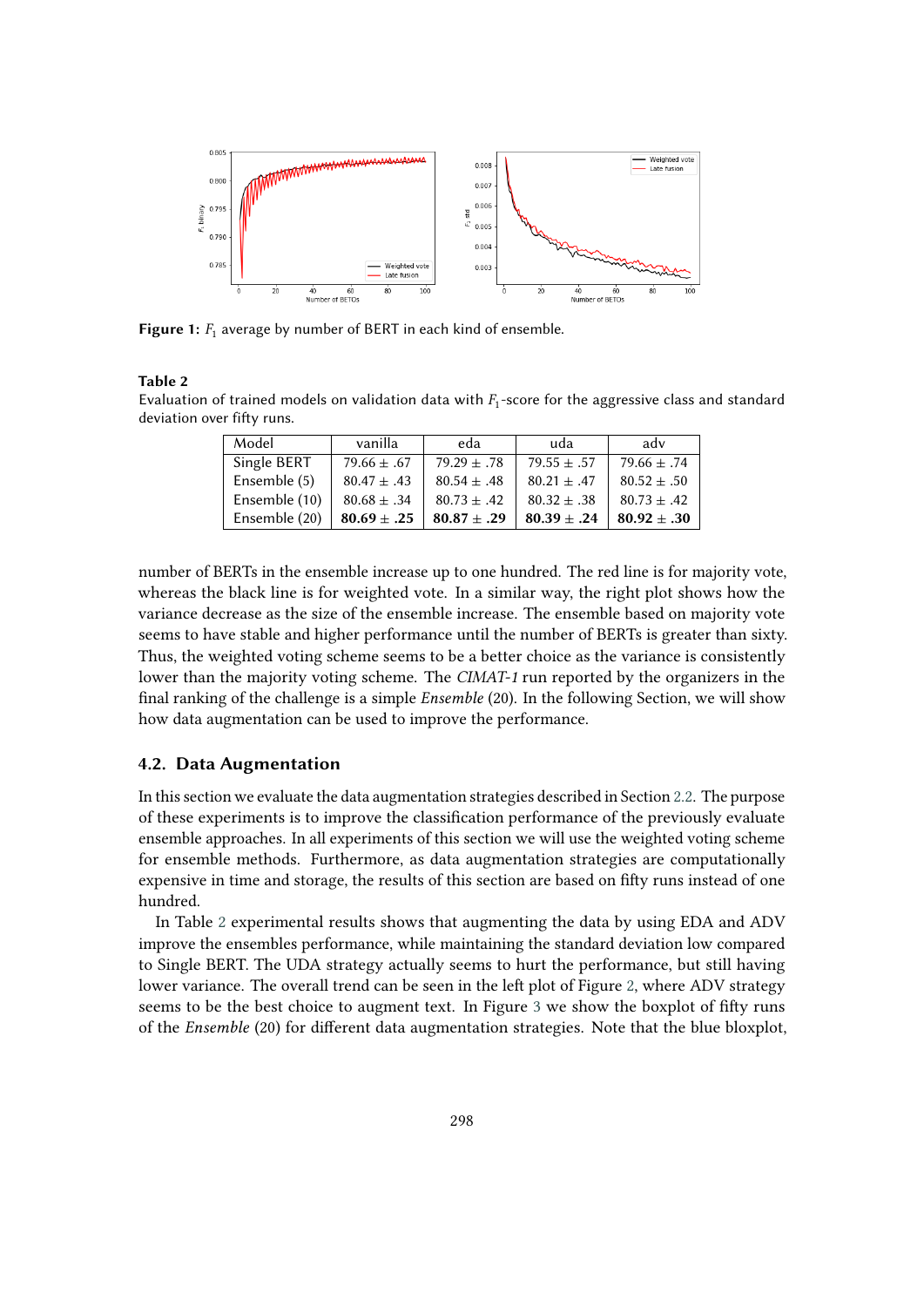

<span id="page-5-1"></span>**Figure 1:**  $F_1$  average by number of BERT in each kind of ensemble.

#### **Table 2**

<span id="page-5-2"></span>Evaluation of trained models on validation data with  $F_1$ -score for the aggressive class and standard deviation over fifty runs.

| Model         | vanilla         | eda           | uda             | adv             |
|---------------|-----------------|---------------|-----------------|-----------------|
| Single BERT   | $79.66 \pm .67$ | $79.29 + .78$ | $79.55 + .57$   | $79.66 \pm .74$ |
| Ensemble (5)  | $80.47 + .43$   | $80.54 + .48$ | $80.21 + .47$   | $80.52 + .50$   |
| Ensemble (10) | $80.68 \pm .34$ | $80.73 + .42$ | $80.32 + .38$   | $80.73 \pm .42$ |
| Ensemble (20) | $80.69 \pm .25$ | $80.87 + .29$ | $80.39 \pm .24$ | $80.92 \pm .30$ |

number of BERTs in the ensemble increase up to one hundred. The red line is for majority vote, whereas the black line is for weighted vote. In a similar way, the right plot shows how the variance decrease as the size of the ensemble increase. The ensemble based on majority vote seems to have stable and higher performance until the number of BERTs is greater than sixty. Thus, the weighted voting scheme seems to be a better choice as the variance is consistently lower than the majority voting scheme. The *CIMAT-1* run reported by the organizers in the final ranking of the challenge is a simple *Ensemble* (20). In the following Section, we will show how data augmentation can be used to improve the performance.

### <span id="page-5-0"></span>**4.2. Data Augmentation**

In this section we evaluate the data augmentation strategies described in Section [2.2.](#page-2-0) The purpose of these experiments is to improve the classification performance of the previously evaluate ensemble approaches. In all experiments of this section we will use the weighted voting scheme for ensemble methods. Furthermore, as data augmentation strategies are computationally expensive in time and storage, the results of this section are based on fifty runs instead of one hundred.

In Table [2](#page-5-2) experimental results shows that augmenting the data by using EDA and ADV improve the ensembles performance, while maintaining the standard deviation low compared to Single BERT. The UDA strategy actually seems to hurt the performance, but still having lower variance. The overall trend can be seen in the left plot of Figure [2,](#page-6-0) where ADV strategy seems to be the best choice to augment text. In Figure [3](#page-7-1) we show the boxplot of fifty runs of the *Ensemble* (20) for different data augmentation strategies. Note that the blue bloxplot,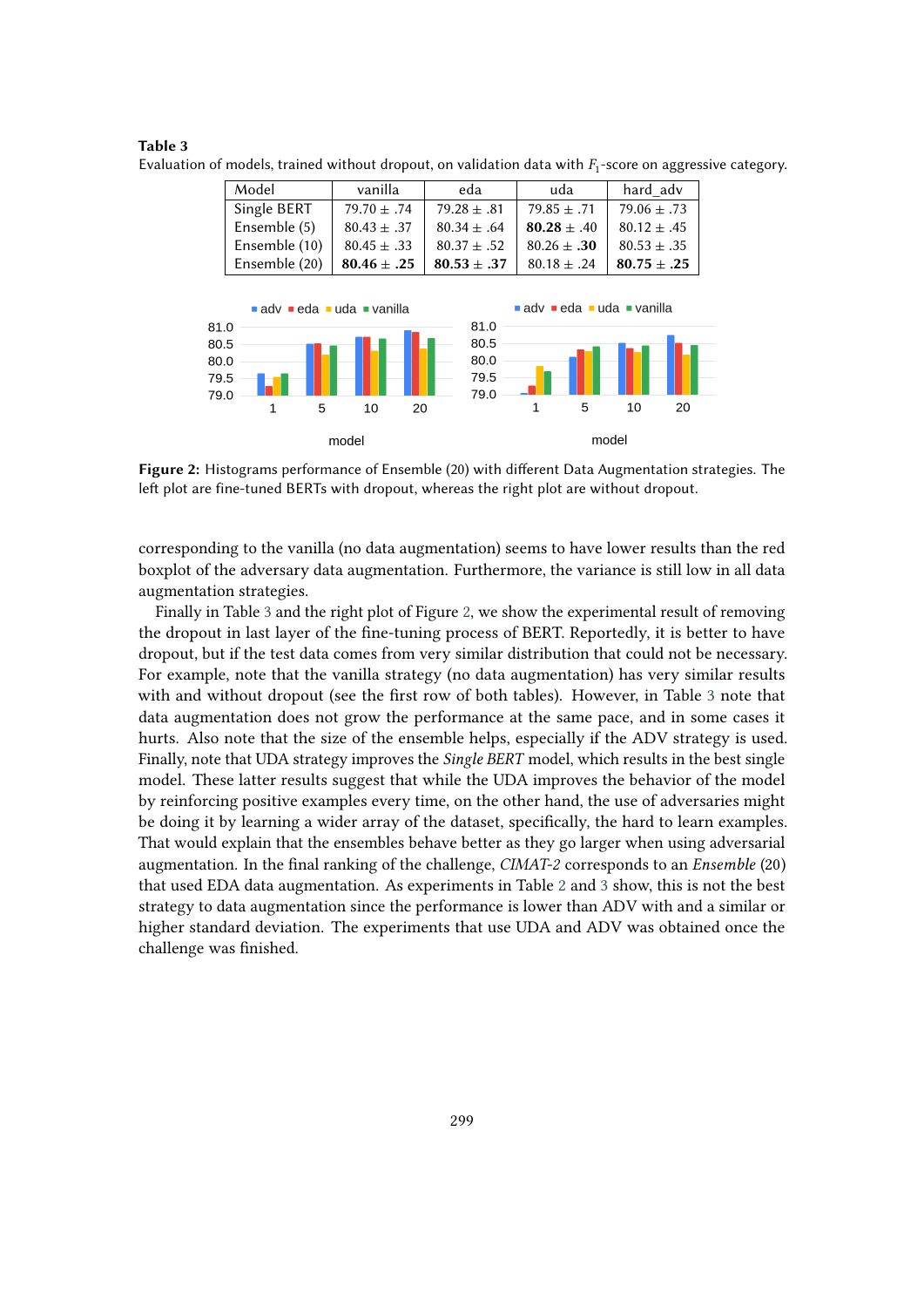| Model         | vanilla         | eda             | uda             | hard adv        |
|---------------|-----------------|-----------------|-----------------|-----------------|
| Single BERT   | $79.70 \pm .74$ | $79.28 \pm .81$ | $79.85 + .71$   | $79.06 \pm .73$ |
| Ensemble (5)  | $80.43 \pm .37$ | $80.34 + .64$   | $80.28 + .40$   | $80.12 + .45$   |
| Ensemble (10) | $80.45 \pm .33$ | $80.37 \pm .52$ | $80.26 + .30$   | $80.53 \pm .35$ |
| Ensemble (20) | $80.46 \pm .25$ | $80.53 \pm .37$ | $80.18 \pm .24$ | $80.75 \pm .25$ |

<span id="page-6-1"></span>**Table 3** Evaluation of models, trained without dropout, on validation data with  $F_1$ -score on aggressive category.



<span id="page-6-0"></span>**Figure 2:** Histograms performance of Ensemble (20) with different Data Augmentation strategies. The left plot are fine-tuned BERTs with dropout, whereas the right plot are without dropout.

corresponding to the vanilla (no data augmentation) seems to have lower results than the red boxplot of the adversary data augmentation. Furthermore, the variance is still low in all data augmentation strategies.

Finally in Table [3](#page-6-1) and the right plot of Figure [2,](#page-6-0) we show the experimental result of removing the dropout in last layer of the fine-tuning process of BERT. Reportedly, it is better to have dropout, but if the test data comes from very similar distribution that could not be necessary. For example, note that the vanilla strategy (no data augmentation) has very similar results with and without dropout (see the first row of both tables). However, in Table [3](#page-6-1) note that data augmentation does not grow the performance at the same pace, and in some cases it hurts. Also note that the size of the ensemble helps, especially if the ADV strategy is used. Finally, note that UDA strategy improves the *Single BERT* model, which results in the best single model. These latter results suggest that while the UDA improves the behavior of the model by reinforcing positive examples every time, on the other hand, the use of adversaries might be doing it by learning a wider array of the dataset, specifically, the hard to learn examples. That would explain that the ensembles behave better as they go larger when using adversarial augmentation. In the final ranking of the challenge, *CIMAT-2* corresponds to an *Ensemble* (20) that used EDA data augmentation. As experiments in Table [2](#page-5-2) and [3](#page-6-1) show, this is not the best strategy to data augmentation since the performance is lower than ADV with and a similar or higher standard deviation. The experiments that use UDA and ADV was obtained once the challenge was finished.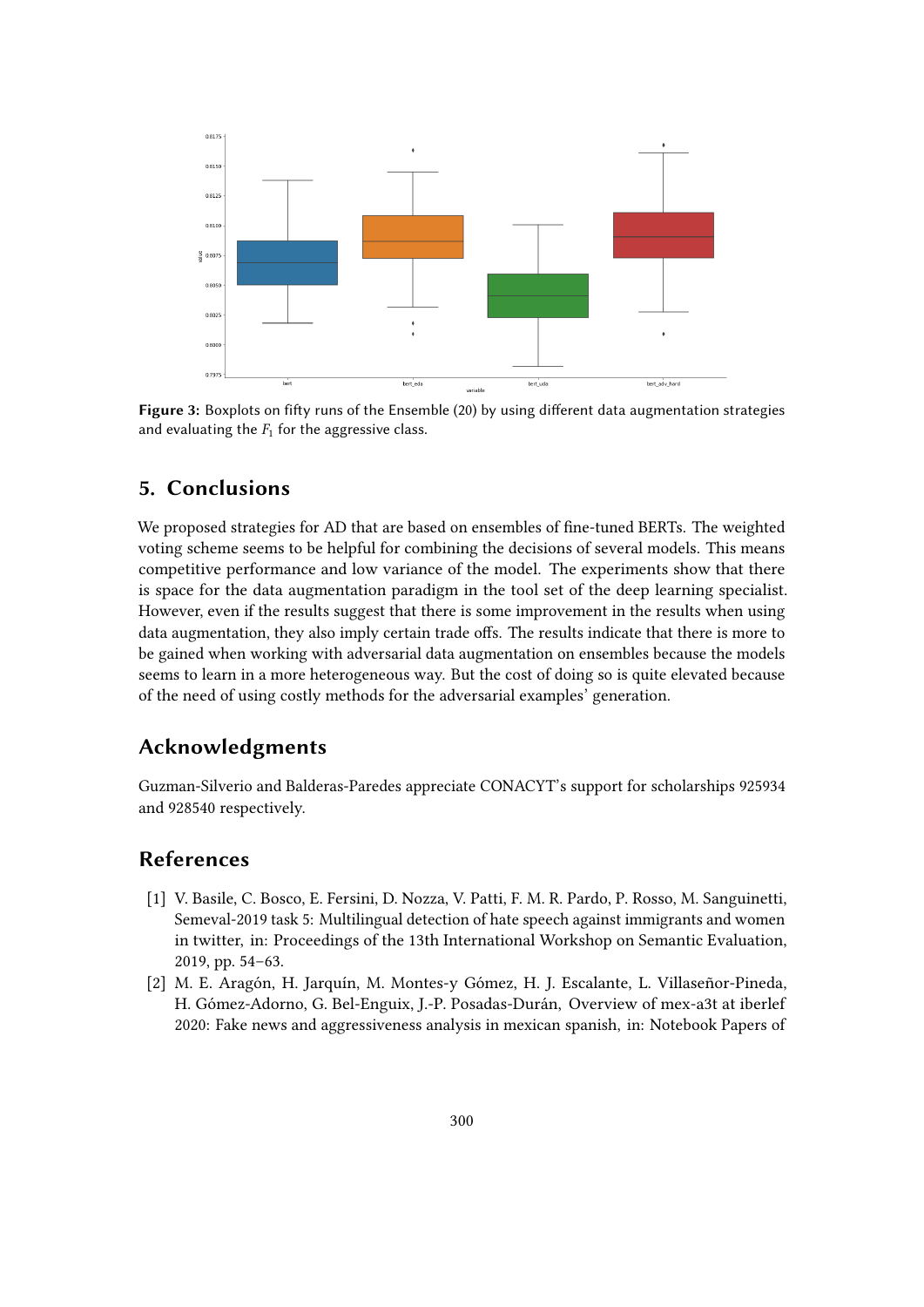

<span id="page-7-1"></span>**Figure 3:** Boxplots on fifty runs of the Ensemble (20) by using different data augmentation strategies and evaluating the  $F_1$  for the aggressive class.

## **5. Conclusions**

We proposed strategies for AD that are based on ensembles of fine-tuned BERTs. The weighted voting scheme seems to be helpful for combining the decisions of several models. This means competitive performance and low variance of the model. The experiments show that there is space for the data augmentation paradigm in the tool set of the deep learning specialist. However, even if the results suggest that there is some improvement in the results when using data augmentation, they also imply certain trade offs. The results indicate that there is more to be gained when working with adversarial data augmentation on ensembles because the models seems to learn in a more heterogeneous way. But the cost of doing so is quite elevated because of the need of using costly methods for the adversarial examples' generation.

## **Acknowledgments**

Guzman-Silverio and Balderas-Paredes appreciate CONACYT's support for scholarships 925934 and 928540 respectively.

# **References**

- <span id="page-7-0"></span>[1] V. Basile, C. Bosco, E. Fersini, D. Nozza, V. Patti, F. M. R. Pardo, P. Rosso, M. Sanguinetti, Semeval-2019 task 5: Multilingual detection of hate speech against immigrants and women in twitter, in: Proceedings of the 13th International Workshop on Semantic Evaluation, 2019, pp. 54–63.
- [2] M. E. Aragón, H. Jarquín, M. Montes-y Gómez, H. J. Escalante, L. Villaseñor-Pineda, H. Gómez-Adorno, G. Bel-Enguix, J.-P. Posadas-Durán, Overview of mex-a3t at iberlef 2020: Fake news and aggressiveness analysis in mexican spanish, in: Notebook Papers of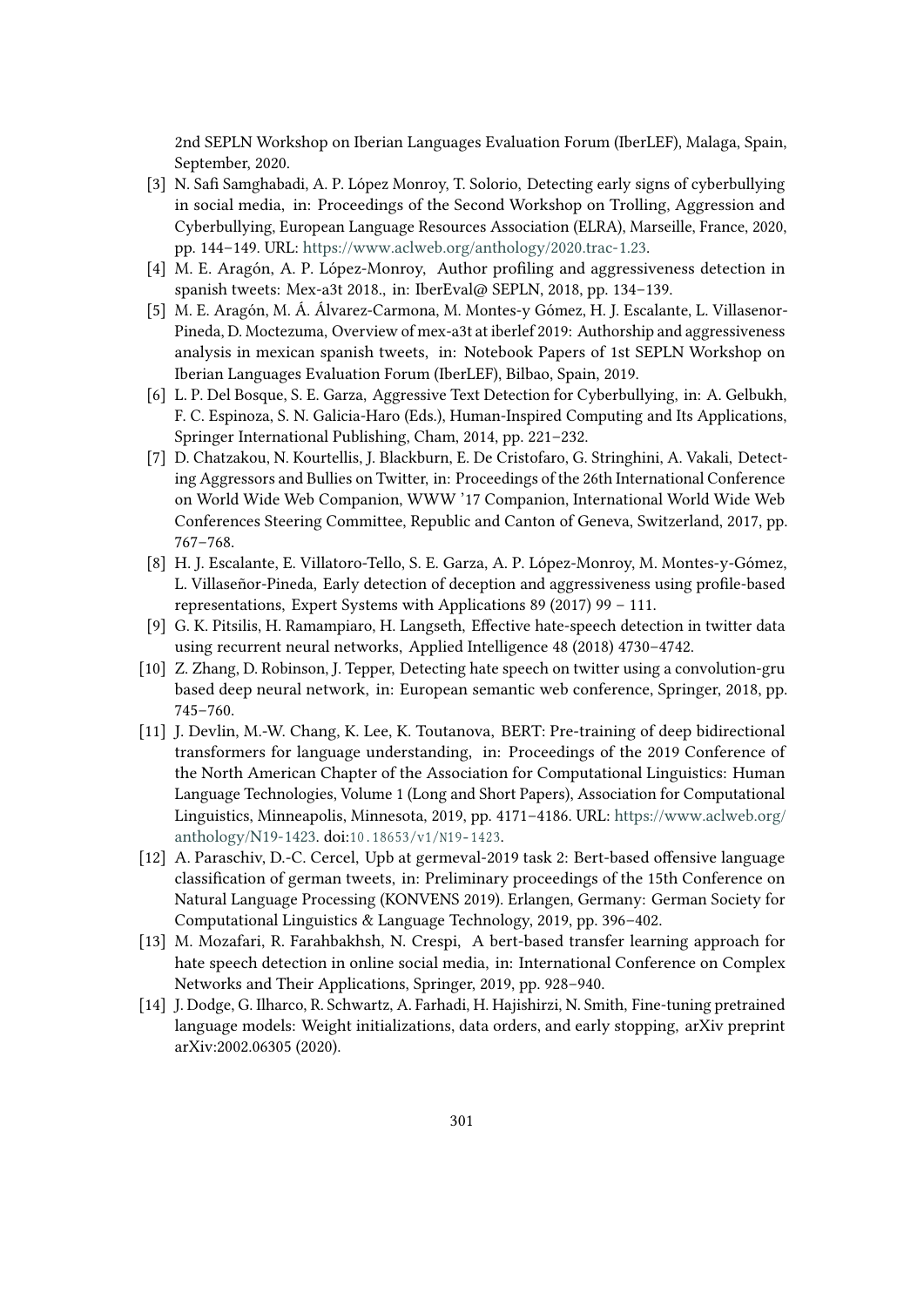2nd SEPLN Workshop on Iberian Languages Evaluation Forum (IberLEF), Malaga, Spain, September, 2020.

- [3] N. Safi Samghabadi, A. P. López Monroy, T. Solorio, Detecting early signs of cyberbullying in social media, in: Proceedings of the Second Workshop on Trolling, Aggression and Cyberbullying, European Language Resources Association (ELRA), Marseille, France, 2020, pp. 144–149. URL: [https://www.aclweb.org/anthology/2020.trac-1.23.](https://www.aclweb.org/anthology/2020.trac-1.23)
- <span id="page-8-0"></span>[4] M. E. Aragón, A. P. López-Monroy, Author profiling and aggressiveness detection in spanish tweets: Mex-a3t 2018., in: IberEval@ SEPLN, 2018, pp. 134–139.
- <span id="page-8-1"></span>[5] M. E. Aragón, M. Á. Álvarez-Carmona, M. Montes-y Gómez, H. J. Escalante, L. Villasenor-Pineda, D. Moctezuma, Overview of mex-a3t at iberlef 2019: Authorship and aggressiveness analysis in mexican spanish tweets, in: Notebook Papers of 1st SEPLN Workshop on Iberian Languages Evaluation Forum (IberLEF), Bilbao, Spain, 2019.
- <span id="page-8-2"></span>[6] L. P. Del Bosque, S. E. Garza, Aggressive Text Detection for Cyberbullying, in: A. Gelbukh, F. C. Espinoza, S. N. Galicia-Haro (Eds.), Human-Inspired Computing and Its Applications, Springer International Publishing, Cham, 2014, pp. 221–232.
- <span id="page-8-3"></span>[7] D. Chatzakou, N. Kourtellis, J. Blackburn, E. De Cristofaro, G. Stringhini, A. Vakali, Detecting Aggressors and Bullies on Twitter, in: Proceedings of the 26th International Conference on World Wide Web Companion, WWW '17 Companion, International World Wide Web Conferences Steering Committee, Republic and Canton of Geneva, Switzerland, 2017, pp. 767–768.
- <span id="page-8-4"></span>[8] H. J. Escalante, E. Villatoro-Tello, S. E. Garza, A. P. López-Monroy, M. Montes-y-Gómez, L. Villaseñor-Pineda, Early detection of deception and aggressiveness using profile-based representations, Expert Systems with Applications 89 (2017) 99 – 111.
- <span id="page-8-5"></span>[9] G. K. Pitsilis, H. Ramampiaro, H. Langseth, Effective hate-speech detection in twitter data using recurrent neural networks, Applied Intelligence 48 (2018) 4730–4742.
- <span id="page-8-6"></span>[10] Z. Zhang, D. Robinson, J. Tepper, Detecting hate speech on twitter using a convolution-gru based deep neural network, in: European semantic web conference, Springer, 2018, pp. 745–760.
- <span id="page-8-7"></span>[11] J. Devlin, M.-W. Chang, K. Lee, K. Toutanova, BERT: Pre-training of deep bidirectional transformers for language understanding, in: Proceedings of the 2019 Conference of the North American Chapter of the Association for Computational Linguistics: Human Language Technologies, Volume 1 (Long and Short Papers), Association for Computational Linguistics, Minneapolis, Minnesota, 2019, pp. 4171–4186. URL: [https://www.aclweb.org/](https://www.aclweb.org/anthology/N19-1423) [anthology/N19-1423.](https://www.aclweb.org/anthology/N19-1423) doi:10.18653/v1/N19-1423.
- <span id="page-8-8"></span>[12] A. Paraschiv, D.-C. Cercel, Upb at germeval-2019 task 2: Bert-based offensive language classification of german tweets, in: Preliminary proceedings of the 15th Conference on Natural Language Processing (KONVENS 2019). Erlangen, Germany: German Society for Computational Linguistics & Language Technology, 2019, pp. 396–402.
- <span id="page-8-9"></span>[13] M. Mozafari, R. Farahbakhsh, N. Crespi, A bert-based transfer learning approach for hate speech detection in online social media, in: International Conference on Complex Networks and Their Applications, Springer, 2019, pp. 928–940.
- <span id="page-8-10"></span>[14] J. Dodge, G. Ilharco, R. Schwartz, A. Farhadi, H. Hajishirzi, N. Smith, Fine-tuning pretrained language models: Weight initializations, data orders, and early stopping, arXiv preprint arXiv:2002.06305 (2020).